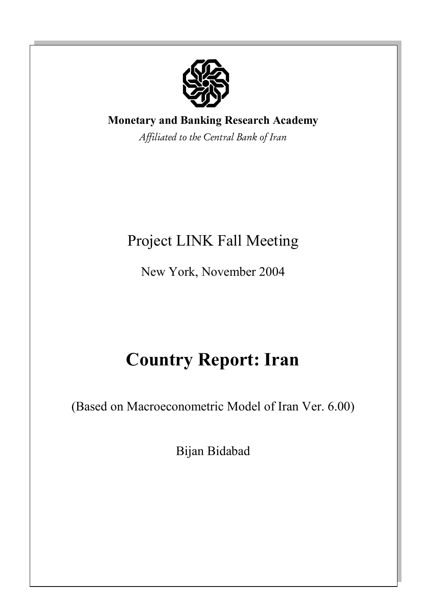

## **Monetary and Banking Research Academy**

*Affiliated to the Central Bank of Iran*

## Project LINK Fall Meeting

New York, November 2004

# **Country Report: Iran**

(Based on Macroeconometric Model of Iran Ver. 6.00)

Bijan Bidabad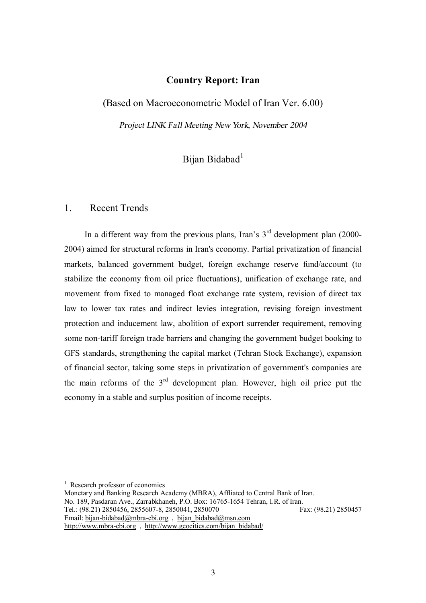#### **Country Report: Iran**

(Based on Macroeconometric Model of Iran Ver. 6.00)

*Project LINK Fall Meeting New York, November 2004* 

### Bijan Bidabad<sup>1</sup>

#### 1. Recent Trends

In a different way from the previous plans, Iran's  $3<sup>rd</sup>$  development plan (2000-2004) aimed for structural reforms in Iran's economy. Partial privatization of financial markets, balanced government budget, foreign exchange reserve fund/account (to stabilize the economy from oil price fluctuations), unification of exchange rate, and movement from fixed to managed float exchange rate system, revision of direct tax law to lower tax rates and indirect levies integration, revising foreign investment protection and inducement law, abolition of export surrender requirement, removing some non-tariff foreign trade barriers and changing the government budget booking to GFS standards, strengthening the capital market (Tehran Stock Exchange), expansion of financial sector, taking some steps in privatization of government's companies are the main reforms of the  $3<sup>rd</sup>$  development plan. However, high oil price put the economy in a stable and surplus position of income receipts.

 $<sup>1</sup>$  Research professor of economics</sup>

 $\overline{a}$ 

Monetary and Banking Research Academy (MBRA), Affliated to Central Bank of Iran. No. 189, Pasdaran Ave., Zarrabkhaneh, P.O. Box: 16765-1654 Tehran, I.R. of Iran. Tel.: (98.21) 2850456, 2855607-8, 2850041, 2850070 Fax: (98.21) 2850457 Email: [bijan-bidabad@mbra-cbi.org](mailto:bijan-bidabad@mbra-cbi.org) , [bijan\\_bidabad@msn.com](mailto:bijan_bidabad@msn.com)  <http://www.mbra-cbi.org> , [http://www.geocities.com/bijan\\_bidabad/](http://www.geocities.com/bijan_bidabad/)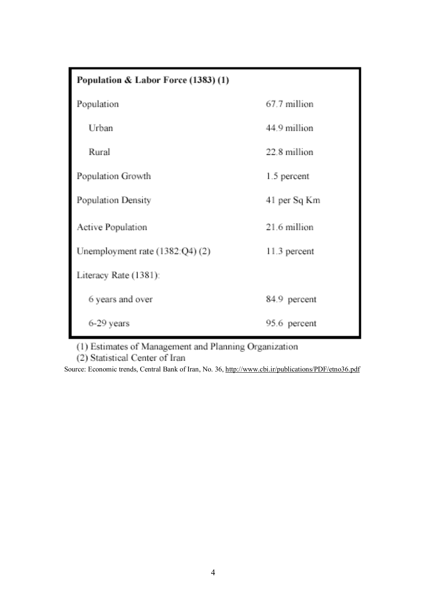| Population & Labor Force (1383) (1) |                |  |  |
|-------------------------------------|----------------|--|--|
| Population                          | 67.7 million   |  |  |
| Urban                               | 44.9 million   |  |  |
| Rural                               | 22.8 million   |  |  |
| Population Growth                   | 1.5 percent    |  |  |
| Population Density                  | 41 per Sq Km   |  |  |
| Active Population                   | 21.6 million   |  |  |
| Unemployment rate (1382:Q4) (2)     | $11.3$ percent |  |  |
| Literacy Rate (1381):               |                |  |  |
| 6 years and over                    | 84.9 percent   |  |  |
| 6-29 years                          | 95.6 percent   |  |  |

(1) Estimates of Management and Planning Organization

(2) Statistical Center of Iran

Source: Economic trends, Central Bank of Iran, No. 36, <http://www.cbi.ir/publications/PDF/etno36.pdf>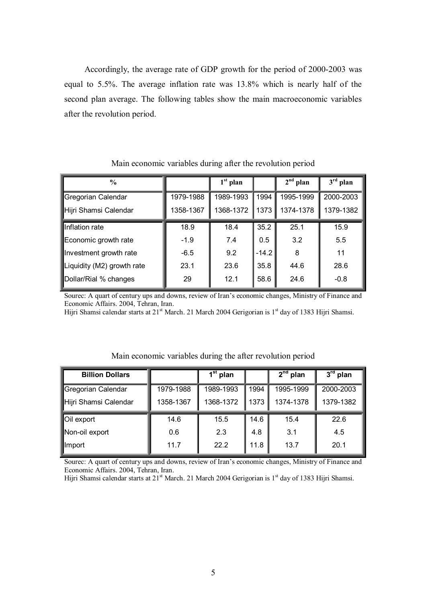Accordingly, the average rate of GDP growth for the period of 2000-2003 was equal to 5.5%. The average inflation rate was 13.8% which is nearly half of the second plan average. The following tables show the main macroeconomic variables after the revolution period.

| $\frac{0}{0}$              |           | $1st$ plan |         | $2nd$ plan | $3rd$ plan |
|----------------------------|-----------|------------|---------|------------|------------|
| Gregorian Calendar         | 1979-1988 | 1989-1993  | 1994    | 1995-1999  | 2000-2003  |
| Hijri Shamsi Calendar      | 1358-1367 | 1368-1372  | 1373    | 1374-1378  | 1379-1382  |
| Inflation rate             | 18.9      | 18.4       | 35.2    | 25.1       | 15.9       |
| Economic growth rate       | $-1.9$    | 7.4        | 0.5     | 3.2        | 5.5        |
| Investment growth rate     | $-6.5$    | 9.2        | $-14.2$ | 8          | 11         |
| Liquidity (M2) growth rate | 23.1      | 23.6       | 35.8    | 44.6       | 28.6       |
| Dollar/Rial % changes      | 29        | 12.1       | 58.6    | 24.6       | $-0.8$     |

Main economic variables during after the revolution period

Sourec: A quart of century ups and downs, review of Iran's economic changes, Ministry of Finance and Economic Affairs. 2004, Tehran, Iran.

Hijri Shamsi calendar starts at 21<sup>st</sup> March. 21 March 2004 Gerigorian is 1<sup>st</sup> day of 1383 Hijri Shamsi.

| <b>Billion Dollars</b> |           | $1st$ plan |      | $2^{na}$ plan | $3^{\text{rd}}$ plan |
|------------------------|-----------|------------|------|---------------|----------------------|
| Gregorian Calendar     | 1979-1988 | 1989-1993  | 1994 | 1995-1999     | 2000-2003            |
| Hijri Shamsi Calendar  | 1358-1367 | 1368-1372  | 1373 | 1374-1378     | 1379-1382            |
| Oil export             | 14.6      | 15.5       | 14.6 | 15.4          | 22.6                 |
| Non-oil export         | 0.6       | 2.3        | 4.8  | 3.1           | 4.5                  |
| <b>Import</b>          | 11.7      | 22.2       | 11.8 | 13.7          | 20.1                 |

Main economic variables during the after revolution period

Sourec: A quart of century ups and downs, review of Iran's economic changes, Ministry of Finance and Economic Affairs. 2004, Tehran, Iran.

Hijri Shamsi calendar starts at 21<sup>st</sup> March. 21 March 2004 Gerigorian is 1<sup>st</sup> day of 1383 Hijri Shamsi.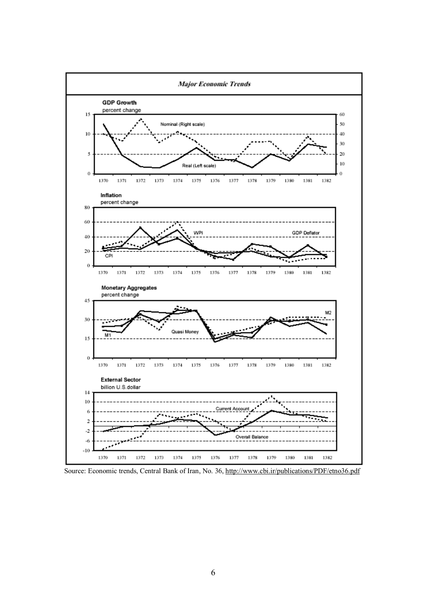

Source: Economic trends, Central Bank of Iran, No. 36, <http://www.cbi.ir/publications/PDF/etno36.pdf>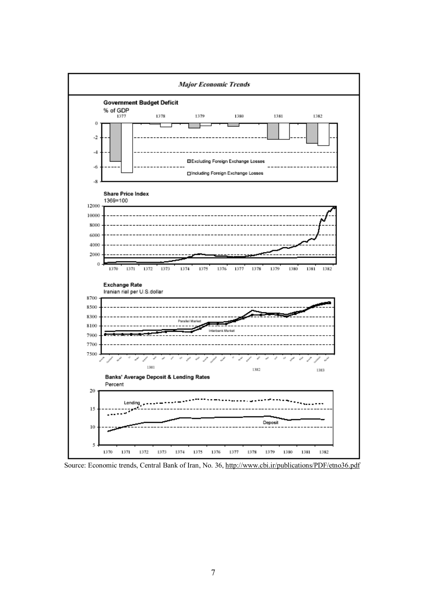

Source: Economic trends, Central Bank of Iran, No. 36, <http://www.cbi.ir/publications/PDF/etno36.pdf>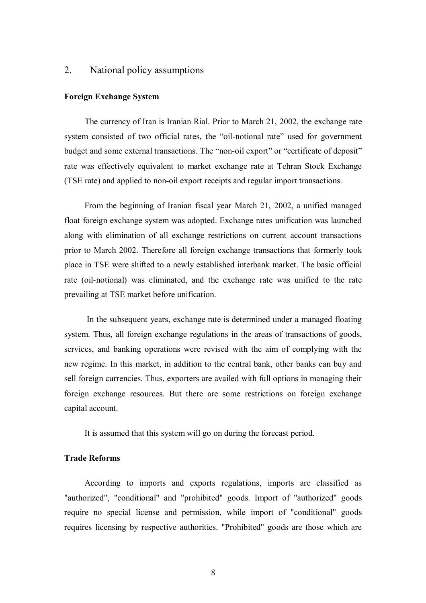#### 2. National policy assumptions

#### **Foreign Exchange System**

The currency of Iran is Iranian Rial. Prior to March 21, 2002, the exchange rate system consisted of two official rates, the "oil-notional rate" used for government budget and some external transactions. The "non-oil export" or "certificate of deposit" rate was effectively equivalent to market exchange rate at Tehran Stock Exchange (TSE rate) and applied to non-oil export receipts and regular import transactions.

From the beginning of Iranian fiscal year March 21, 2002, a unified managed float foreign exchange system was adopted. Exchange rates unification was launched along with elimination of all exchange restrictions on current account transactions prior to March 2002. Therefore all foreign exchange transactions that formerly took place in TSE were shifted to a newly established interbank market. The basic official rate (oil-notional) was eliminated, and the exchange rate was unified to the rate prevailing at TSE market before unification.

In the subsequent years, exchange rate is determined under a managed floating system. Thus, all foreign exchange regulations in the areas of transactions of goods, services, and banking operations were revised with the aim of complying with the new regime. In this market, in addition to the central bank, other banks can buy and sell foreign currencies. Thus, exporters are availed with full options in managing their foreign exchange resources. But there are some restrictions on foreign exchange capital account.

It is assumed that this system will go on during the forecast period.

#### **Trade Reforms**

According to imports and exports regulations, imports are classified as "authorized", "conditional" and "prohibited" goods. Import of "authorized" goods require no special license and permission, while import of "conditional" goods requires licensing by respective authorities. "Prohibited" goods are those which are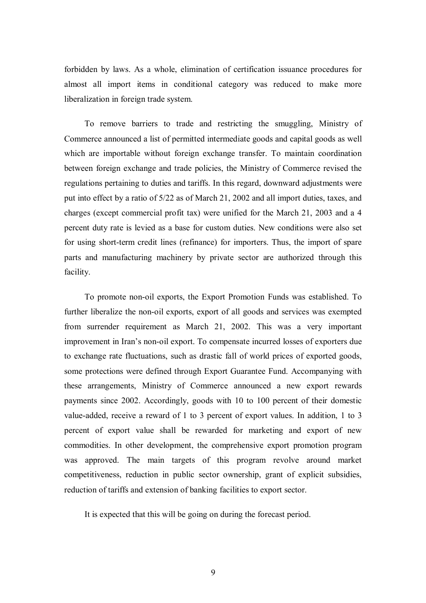forbidden by laws. As a whole, elimination of certification issuance procedures for almost all import items in conditional category was reduced to make more liberalization in foreign trade system.

To remove barriers to trade and restricting the smuggling, Ministry of Commerce announced a list of permitted intermediate goods and capital goods as well which are importable without foreign exchange transfer. To maintain coordination between foreign exchange and trade policies, the Ministry of Commerce revised the regulations pertaining to duties and tariffs. In this regard, downward adjustments were put into effect by a ratio of 5/22 as of March 21, 2002 and all import duties, taxes, and charges (except commercial profit tax) were unified for the March 21, 2003 and a 4 percent duty rate is levied as a base for custom duties. New conditions were also set for using short-term credit lines (refinance) for importers. Thus, the import of spare parts and manufacturing machinery by private sector are authorized through this facility.

To promote non-oil exports, the Export Promotion Funds was established. To further liberalize the non-oil exports, export of all goods and services was exempted from surrender requirement as March 21, 2002. This was a very important improvement in Iran's non-oil export. To compensate incurred losses of exporters due to exchange rate fluctuations, such as drastic fall of world prices of exported goods, some protections were defined through Export Guarantee Fund. Accompanying with these arrangements, Ministry of Commerce announced a new export rewards payments since 2002. Accordingly, goods with 10 to 100 percent of their domestic value-added, receive a reward of 1 to 3 percent of export values. In addition, 1 to 3 percent of export value shall be rewarded for marketing and export of new commodities. In other development, the comprehensive export promotion program was approved. The main targets of this program revolve around market competitiveness, reduction in public sector ownership, grant of explicit subsidies, reduction of tariffs and extension of banking facilities to export sector.

It is expected that this will be going on during the forecast period.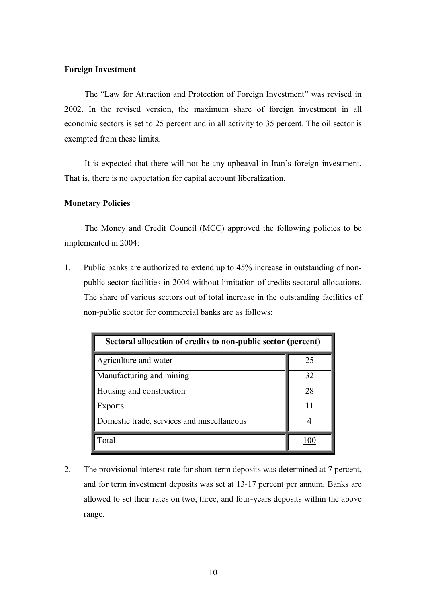#### **Foreign Investment**

The "Law for Attraction and Protection of Foreign Investment" was revised in 2002. In the revised version, the maximum share of foreign investment in all economic sectors is set to 25 percent and in all activity to 35 percent. The oil sector is exempted from these limits.

It is expected that there will not be any upheaval in Iran's foreign investment. That is, there is no expectation for capital account liberalization.

#### **Monetary Policies**

The Money and Credit Council (MCC) approved the following policies to be implemented in 2004:

1. Public banks are authorized to extend up to 45% increase in outstanding of nonpublic sector facilities in 2004 without limitation of credits sectoral allocations. The share of various sectors out of total increase in the outstanding facilities of non-public sector for commercial banks are as follows:

| Sectoral allocation of credits to non-public sector (percent) |     |  |
|---------------------------------------------------------------|-----|--|
| Agriculture and water                                         | 25  |  |
| Manufacturing and mining                                      | 32  |  |
| Housing and construction                                      | 28  |  |
| <b>Exports</b>                                                |     |  |
| Domestic trade, services and miscellaneous                    |     |  |
| Total                                                         | 100 |  |

2. The provisional interest rate for short-term deposits was determined at 7 percent, and for term investment deposits was set at 13-17 percent per annum. Banks are allowed to set their rates on two, three, and four-years deposits within the above range.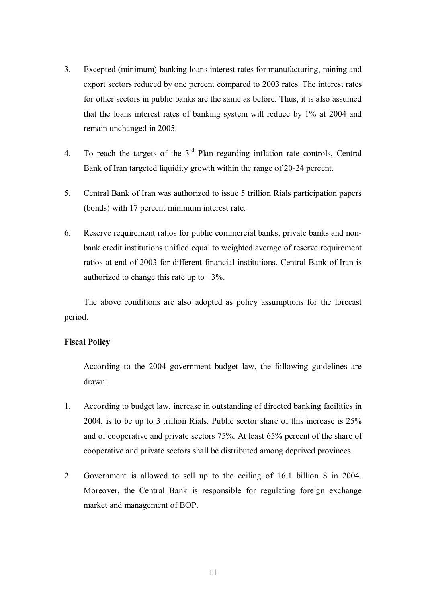- 3. Excepted (minimum) banking loans interest rates for manufacturing, mining and export sectors reduced by one percent compared to 2003 rates. The interest rates for other sectors in public banks are the same as before. Thus, it is also assumed that the loans interest rates of banking system will reduce by 1% at 2004 and remain unchanged in 2005.
- 4. To reach the targets of the  $3<sup>rd</sup>$  Plan regarding inflation rate controls, Central Bank of Iran targeted liquidity growth within the range of 20-24 percent.
- 5. Central Bank of Iran was authorized to issue 5 trillion Rials participation papers (bonds) with 17 percent minimum interest rate.
- 6. Reserve requirement ratios for public commercial banks, private banks and nonbank credit institutions unified equal to weighted average of reserve requirement ratios at end of 2003 for different financial institutions. Central Bank of Iran is authorized to change this rate up to  $\pm 3\%$ .

The above conditions are also adopted as policy assumptions for the forecast period.

#### **Fiscal Policy**

According to the 2004 government budget law, the following guidelines are drawn:

- 1. According to budget law, increase in outstanding of directed banking facilities in 2004, is to be up to 3 trillion Rials. Public sector share of this increase is 25% and of cooperative and private sectors 75%. At least 65% percent of the share of cooperative and private sectors shall be distributed among deprived provinces.
- 2 Government is allowed to sell up to the ceiling of 16.1 billion \$ in 2004. Moreover, the Central Bank is responsible for regulating foreign exchange market and management of BOP.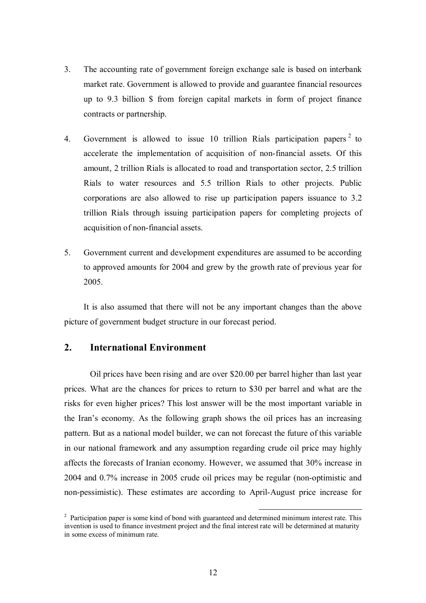- 3. The accounting rate of government foreign exchange sale is based on interbank market rate. Government is allowed to provide and guarantee financial resources up to 9.3 billion \$ from foreign capital markets in form of project finance contracts or partnership.
- 4. Government is allowed to issue 10 trillion Rials participation papers<sup>2</sup> to accelerate the implementation of acquisition of non-financial assets. Of this amount, 2 trillion Rials is allocated to road and transportation sector, 2.5 trillion Rials to water resources and 5.5 trillion Rials to other projects. Public corporations are also allowed to rise up participation papers issuance to 3.2 trillion Rials through issuing participation papers for completing projects of acquisition of non-financial assets.
- 5. Government current and development expenditures are assumed to be according to approved amounts for 2004 and grew by the growth rate of previous year for 2005.

It is also assumed that there will not be any important changes than the above picture of government budget structure in our forecast period.

#### **2. International Environment**

Oil prices have been rising and are over \$20.00 per barrel higher than last year prices. What are the chances for prices to return to \$30 per barrel and what are the risks for even higher prices? This lost answer will be the most important variable in the Iran's economy. As the following graph shows the oil prices has an increasing pattern. But as a national model builder, we can not forecast the future of this variable in our national framework and any assumption regarding crude oil price may highly affects the forecasts of Iranian economy. However, we assumed that 30% increase in 2004 and 0.7% increase in 2005 crude oil prices may be regular (non-optimistic and non-pessimistic). These estimates are according to April-August price increase for

<sup>&</sup>lt;sup>2</sup> Participation paper is some kind of bond with guaranteed and determined minimum interest rate. This invention is used to finance investment project and the final interest rate will be determined at maturity in some excess of minimum rate.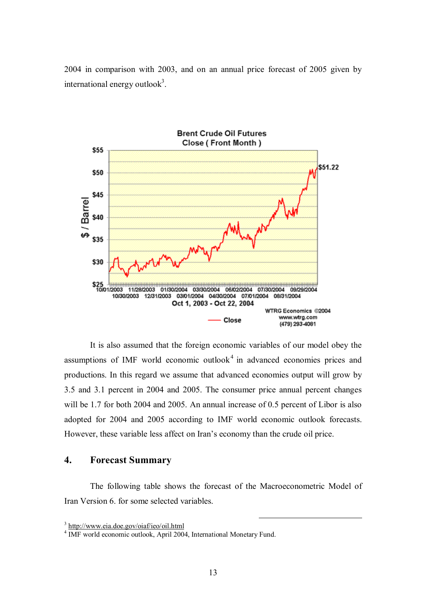2004 in comparison with 2003, and on an annual price forecast of 2005 given by international energy outlook<sup>3</sup>.



It is also assumed that the foreign economic variables of our model obey the assumptions of IMF world economic outlook<sup>4</sup> in advanced economies prices and productions. In this regard we assume that advanced economies output will grow by 3.5 and 3.1 percent in 2004 and 2005. The consumer price annual percent changes will be 1.7 for both 2004 and 2005. An annual increase of 0.5 percent of Libor is also adopted for 2004 and 2005 according to IMF world economic outlook forecasts. However, these variable less affect on Iran's economy than the crude oil price.

#### **4. Forecast Summary**

The following table shows the forecast of the Macroeconometric Model of Iran Version 6. for some selected variables.

 $\overline{a}$ 

<sup>&</sup>lt;sup>3</sup> <http://www.eia.doe.gov/oiaf/ieo/oil.html>

<sup>4</sup> IMF world economic outlook, April 2004, International Monetary Fund.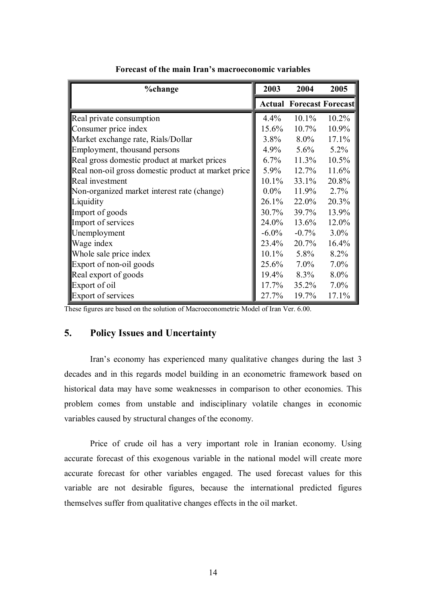| <b>%change</b>                                      | 2003     | 2004                            | 2005          |
|-----------------------------------------------------|----------|---------------------------------|---------------|
|                                                     |          | <b>Actual Forecast Forecast</b> |               |
| Real private consumption                            | $4.4\%$  | $10.1\%$                        | 10.2%         |
| Consumer price index                                | 15.6%    | $10.7\%$                        | 10.9%         |
| Market exchange rate, Rials/Dollar                  | $3.8\%$  | $8.0\%$                         | 17.1%         |
| Employment, thousand persons                        | 4.9%     | $5.6\%$                         | $5.2\%$       |
| Real gross domestic product at market prices        | $6.7\%$  | $11.3\%$                        | 10.5%         |
| Real non-oil gross domestic product at market price | $5.9\%$  | $12.7\%$                        | 11.6%         |
| Real investment                                     | $10.1\%$ | 33.1%                           | 20.8%         |
| Non-organized market interest rate (change)         | $0.0\%$  |                                 | $11.9\%$ 2.7% |
| Liquidity                                           | 26.1%    | 22.0%                           | 20.3%         |
| Import of goods                                     | $30.7\%$ | 39.7%                           | 13.9%         |
| Import of services                                  | 24.0%    | $13.6\%$                        | 12.0%         |
| Unemployment                                        | $-6.0\%$ | $-0.7\%$                        | $3.0\%$       |
| Wage index                                          | 23.4%    | 20.7%                           | 16.4%         |
| Whole sale price index                              | $10.1\%$ | 5.8%                            | $8.2\%$       |
| Export of non-oil goods                             | 25.6%    | $7.0\%$                         | $7.0\%$       |
| Real export of goods                                | $19.4\%$ | $8.3\%$                         | $8.0\%$       |
| Export of oil                                       | $17.7\%$ | $35.2\%$                        | $7.0\%$       |
| Export of services                                  | 27.7%    | 19.7%                           | 17.1%         |

**Forecast of the main Iran's macroeconomic variables** 

These figures are based on the solution of Macroeconometric Model of Iran Ver. 6.00.

#### **5. Policy Issues and Uncertainty**

Iran's economy has experienced many qualitative changes during the last 3 decades and in this regards model building in an econometric framework based on historical data may have some weaknesses in comparison to other economies. This problem comes from unstable and indisciplinary volatile changes in economic variables caused by structural changes of the economy.

Price of crude oil has a very important role in Iranian economy. Using accurate forecast of this exogenous variable in the national model will create more accurate forecast for other variables engaged. The used forecast values for this variable are not desirable figures, because the international predicted figures themselves suffer from qualitative changes effects in the oil market.